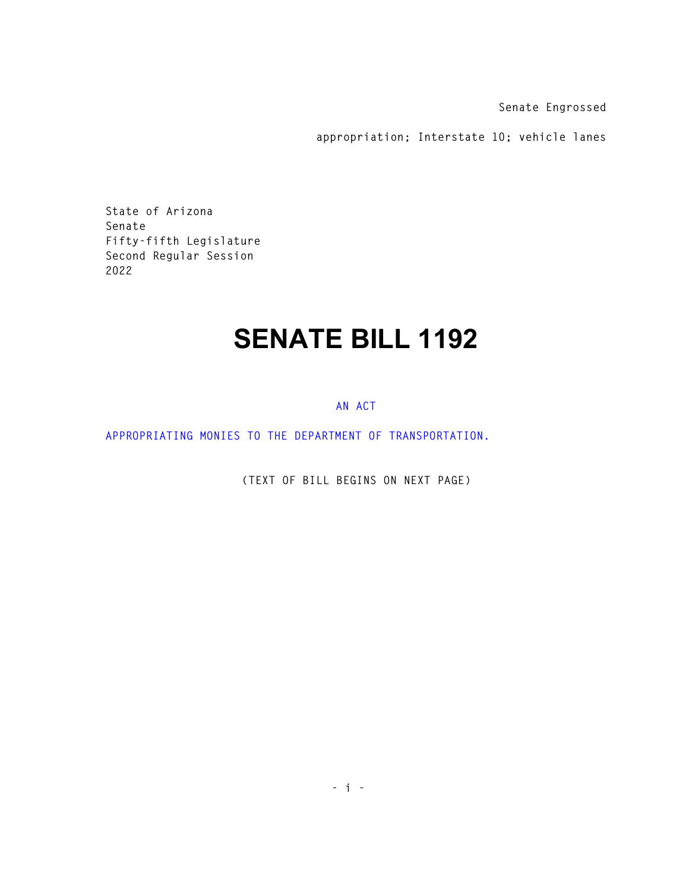**Senate Engrossed** 

**appropriation; Interstate 10; vehicle lanes** 

**State of Arizona Senate Fifty-fifth Legislature Second Regular Session 2022** 

## **SENATE BILL 1192**

## **AN ACT**

**APPROPRIATING MONIES TO THE DEPARTMENT OF TRANSPORTATION.** 

**(TEXT OF BILL BEGINS ON NEXT PAGE)**